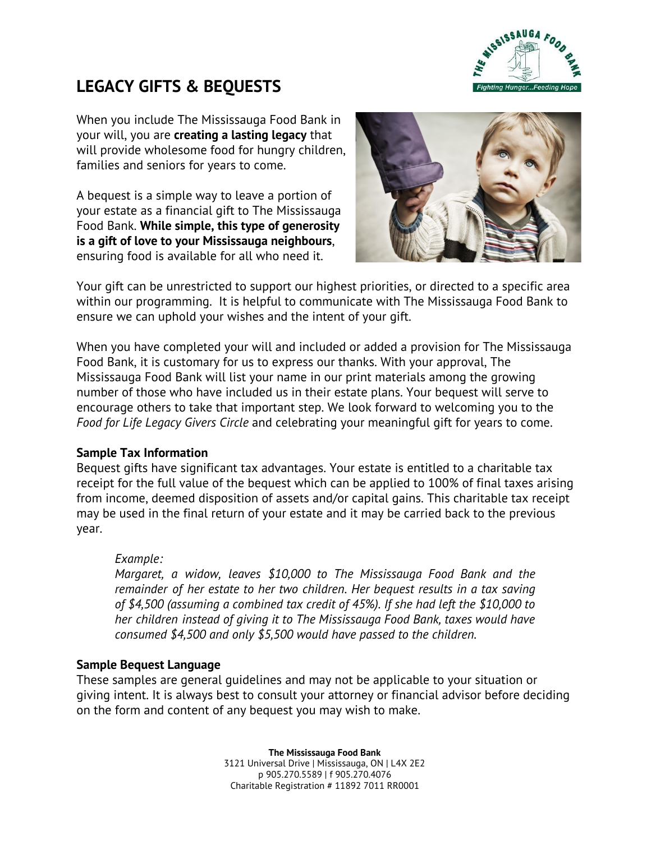

# **LEGACY GIFTS & BEQUESTS**

When you include The Mississauga Food Bank in your will, you are **creating a lasting legacy** that will provide wholesome food for hungry children, families and seniors for years to come.

A bequest is a simple way to leave a portion of your estate as a financial gift to The Mississauga Food Bank. **While simple, this type of generosity is a gift of love to your Mississauga neighbours**, ensuring food is available for all who need it.



Your gift can be unrestricted to support our highest priorities, or directed to a specific area within our programming. It is helpful to communicate with The Mississauga Food Bank to ensure we can uphold your wishes and the intent of your gift.

When you have completed your will and included or added a provision for The Mississauga Food Bank, it is customary for us to express our thanks. With your approval, The Mississauga Food Bank will list your name in our print materials among the growing number of those who have included us in their estate plans. Your bequest will serve to encourage others to take that important step. We look forward to welcoming you to the *Food for Life Legacy Givers Circle* and celebrating your meaningful gift for years to come.

#### **Sample Tax Information**

Bequest gifts have significant tax advantages. Your estate is entitled to a charitable tax receipt for the full value of the bequest which can be applied to 100% of final taxes arising from income, deemed disposition of assets and/or capital gains. This charitable tax receipt may be used in the final return of your estate and it may be carried back to the previous year.

#### *Example:*

*Margaret, a widow, leaves \$10,000 to The Mississauga Food Bank and the remainder of her estate to her two children. Her bequest results in a tax saving of \$4,500 (assuming a combined tax credit of 45%). If she had left the \$10,000 to her children instead of giving it to The Mississauga Food Bank, taxes would have consumed \$4,500 and only \$5,500 would have passed to the children.*

#### **Sample Bequest Language**

These samples are general guidelines and may not be applicable to your situation or giving intent. It is always best to consult your attorney or financial advisor before deciding on the form and content of any bequest you may wish to make.

> **The Mississauga Food Bank** 3121 Universal Drive | Mississauga, ON | L4X 2E2 p 905.270.5589 | f 905.270.4076 Charitable Registration # 11892 7011 RR0001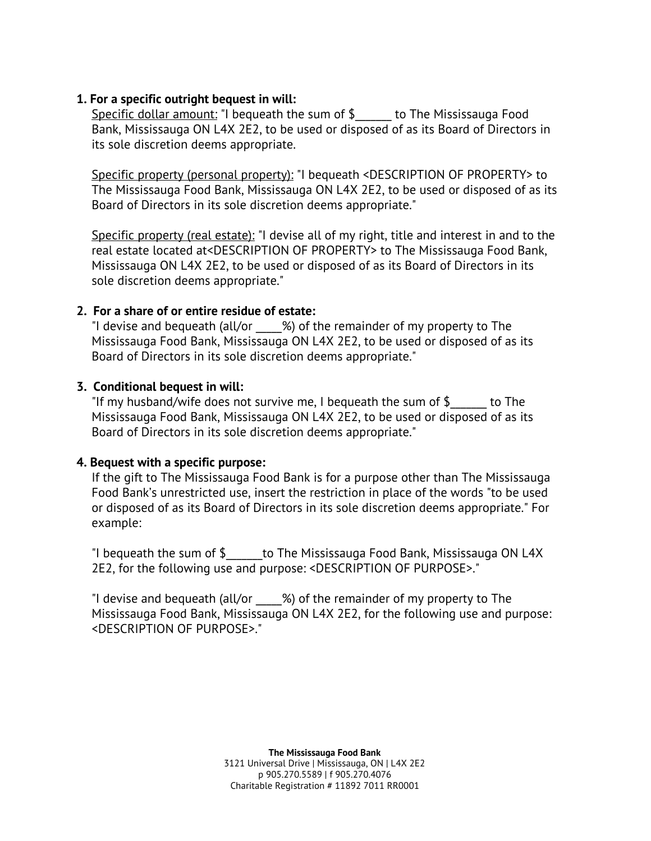#### **1. For a specific outright bequest in will:**

Specific dollar amount: "I bequeath the sum of \$\_\_\_\_\_\_ to The Mississauga Food Bank, Mississauga ON L4X 2E2, to be used or disposed of as its Board of Directors in its sole discretion deems appropriate.

Specific property (personal property): "I bequeath <DESCRIPTION OF PROPERTY> to The Mississauga Food Bank, Mississauga ON L4X 2E2, to be used or disposed of as its Board of Directors in its sole discretion deems appropriate."

Specific property (real estate): "I devise all of my right, title and interest in and to the real estate located at<DESCRIPTION OF PROPERTY> to The Mississauga Food Bank, Mississauga ON L4X 2E2, to be used or disposed of as its Board of Directors in its sole discretion deems appropriate."

## **2. For a share of or entire residue of estate:**

"I devise and bequeath (all/or \_\_\_\_\_%) of the remainder of my property to The Mississauga Food Bank, Mississauga ON L4X 2E2, to be used or disposed of as its Board of Directors in its sole discretion deems appropriate."

### **3. Conditional bequest in will:**

"If my husband/wife does not survive me, I bequeath the sum of  $\oint$  to The Mississauga Food Bank, Mississauga ON L4X 2E2, to be used or disposed of as its Board of Directors in its sole discretion deems appropriate."

## **4. Bequest with a specific purpose:**

If the gift to The Mississauga Food Bank is for a purpose other than The Mississauga Food Bank's unrestricted use, insert the restriction in place of the words "to be used or disposed of as its Board of Directors in its sole discretion deems appropriate." For example:

"I bequeath the sum of  $\oint$  to The Mississauga Food Bank, Mississauga ON L4X 2E2, for the following use and purpose: <DESCRIPTION OF PURPOSE>."

"I devise and bequeath (all/or \_\_\_\_\_%) of the remainder of my property to The Mississauga Food Bank, Mississauga ON L4X 2E2, for the following use and purpose: <DESCRIPTION OF PURPOSE>."

> **The Mississauga Food Bank** 3121 Universal Drive | Mississauga, ON | L4X 2E2 p 905.270.5589 | f 905.270.4076 Charitable Registration # 11892 7011 RR0001